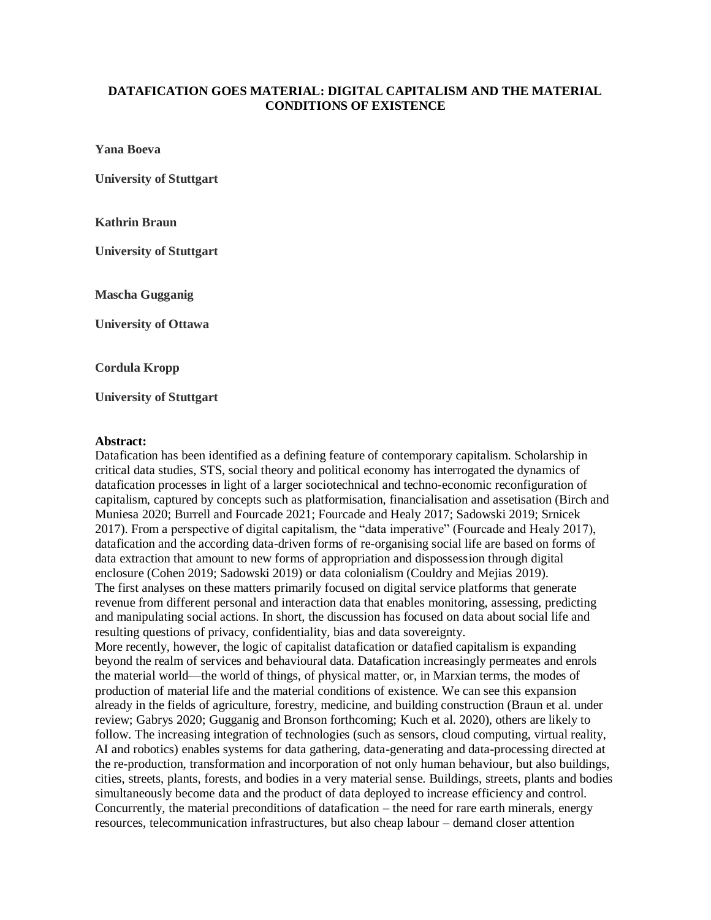## **DATAFICATION GOES MATERIAL: DIGITAL CAPITALISM AND THE MATERIAL CONDITIONS OF EXISTENCE**

**Yana Boeva**

**University of Stuttgart**

**Kathrin Braun**

**University of Stuttgart**

**Mascha Gugganig**

**University of Ottawa**

**Cordula Kropp**

**University of Stuttgart**

## **Abstract:**

Datafication has been identified as a defining feature of contemporary capitalism. Scholarship in critical data studies, STS, social theory and political economy has interrogated the dynamics of datafication processes in light of a larger sociotechnical and techno-economic reconfiguration of capitalism, captured by concepts such as platformisation, financialisation and assetisation (Birch and Muniesa 2020; Burrell and Fourcade 2021; Fourcade and Healy 2017; Sadowski 2019; Srnicek 2017). From a perspective of digital capitalism, the "data imperative" (Fourcade and Healy 2017), datafication and the according data-driven forms of re-organising social life are based on forms of data extraction that amount to new forms of appropriation and dispossession through digital enclosure (Cohen 2019; Sadowski 2019) or data colonialism (Couldry and Mejias 2019). The first analyses on these matters primarily focused on digital service platforms that generate revenue from different personal and interaction data that enables monitoring, assessing, predicting and manipulating social actions. In short, the discussion has focused on data about social life and resulting questions of privacy, confidentiality, bias and data sovereignty. More recently, however, the logic of capitalist datafication or datafied capitalism is expanding beyond the realm of services and behavioural data. Datafication increasingly permeates and enrols the material world—the world of things, of physical matter, or, in Marxian terms, the modes of

production of material life and the material conditions of existence. We can see this expansion already in the fields of agriculture, forestry, medicine, and building construction (Braun et al. under review; Gabrys 2020; Gugganig and Bronson forthcoming; Kuch et al. 2020), others are likely to follow. The increasing integration of technologies (such as sensors, cloud computing, virtual reality, AI and robotics) enables systems for data gathering, data-generating and data-processing directed at the re-production, transformation and incorporation of not only human behaviour, but also buildings, cities, streets, plants, forests, and bodies in a very material sense. Buildings, streets, plants and bodies simultaneously become data and the product of data deployed to increase efficiency and control. Concurrently, the material preconditions of datafication – the need for rare earth minerals, energy resources, telecommunication infrastructures, but also cheap labour – demand closer attention